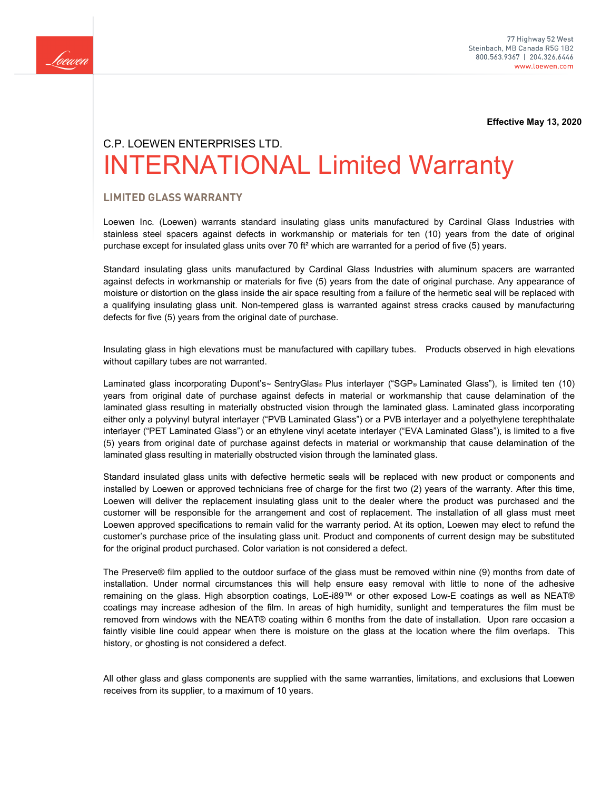

**Effective May 13, 2020**

# C.P. LOEWEN ENTERPRISES LTD. INTERNATIONAL Limited Warranty

## **LIMITED GLASS WARRANTY**

Loewen Inc. (Loewen) warrants standard insulating glass units manufactured by Cardinal Glass Industries with stainless steel spacers against defects in workmanship or materials for ten (10) years from the date of original purchase except for insulated glass units over 70 ft<sup>2</sup> which are warranted for a period of five (5) years.

Standard insulating glass units manufactured by Cardinal Glass Industries with aluminum spacers are warranted against defects in workmanship or materials for five (5) years from the date of original purchase. Any appearance of moisture or distortion on the glass inside the air space resulting from a failure of the hermetic seal will be replaced with a qualifying insulating glass unit. Non-tempered glass is warranted against stress cracks caused by manufacturing defects for five (5) years from the original date of purchase.

Insulating glass in high elevations must be manufactured with capillary tubes. Products observed in high elevations without capillary tubes are not warranted.

Laminated glass incorporating Dupont's<sup>™</sup> SentryGlas® Plus interlayer ("SGP® Laminated Glass"), is limited ten (10) years from original date of purchase against defects in material or workmanship that cause delamination of the laminated glass resulting in materially obstructed vision through the laminated glass. Laminated glass incorporating either only a polyvinyl butyral interlayer ("PVB Laminated Glass") or a PVB interlayer and a polyethylene terephthalate interlayer ("PET Laminated Glass") or an ethylene vinyl acetate interlayer ("EVA Laminated Glass"), is limited to a five (5) years from original date of purchase against defects in material or workmanship that cause delamination of the laminated glass resulting in materially obstructed vision through the laminated glass.

Standard insulated glass units with defective hermetic seals will be replaced with new product or components and installed by Loewen or approved technicians free of charge for the first two (2) years of the warranty. After this time, Loewen will deliver the replacement insulating glass unit to the dealer where the product was purchased and the customer will be responsible for the arrangement and cost of replacement. The installation of all glass must meet Loewen approved specifications to remain valid for the warranty period. At its option, Loewen may elect to refund the customer's purchase price of the insulating glass unit. Product and components of current design may be substituted for the original product purchased. Color variation is not considered a defect.

The Preserve® film applied to the outdoor surface of the glass must be removed within nine (9) months from date of installation. Under normal circumstances this will help ensure easy removal with little to none of the adhesive remaining on the glass. High absorption coatings, LoE-i89™ or other exposed Low-E coatings as well as NEAT® coatings may increase adhesion of the film. In areas of high humidity, sunlight and temperatures the film must be removed from windows with the NEAT® coating within 6 months from the date of installation. Upon rare occasion a faintly visible line could appear when there is moisture on the glass at the location where the film overlaps. This history, or ghosting is not considered a defect.

All other glass and glass components are supplied with the same warranties, limitations, and exclusions that Loewen receives from its supplier, to a maximum of 10 years.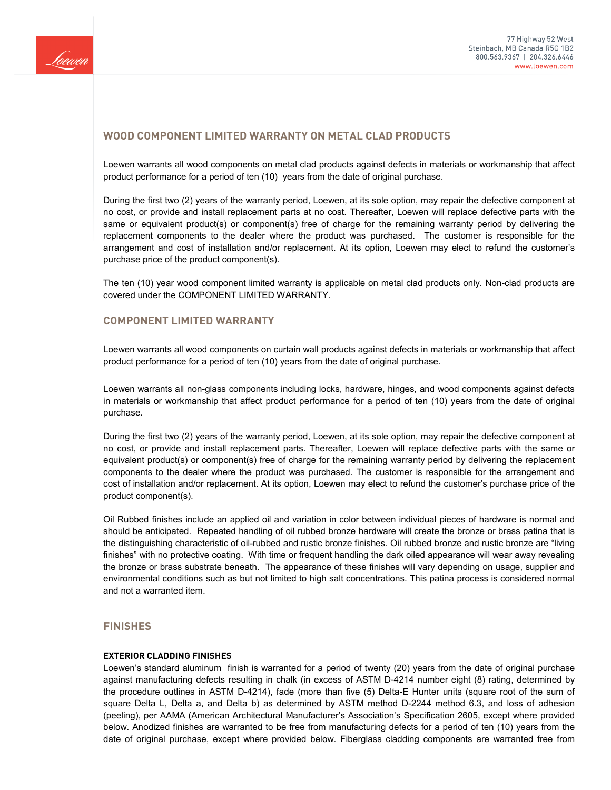

# **WOOD COMPONENT LIMITED WARRANTY ON METAL CLAD PRODUCTS**

Loewen warrants all wood components on metal clad products against defects in materials or workmanship that affect product performance for a period of ten (10) years from the date of original purchase.

During the first two (2) years of the warranty period, Loewen, at its sole option, may repair the defective component at no cost, or provide and install replacement parts at no cost. Thereafter, Loewen will replace defective parts with the same or equivalent product(s) or component(s) free of charge for the remaining warranty period by delivering the replacement components to the dealer where the product was purchased. The customer is responsible for the arrangement and cost of installation and/or replacement. At its option, Loewen may elect to refund the customer's purchase price of the product component(s).

The ten (10) year wood component limited warranty is applicable on metal clad products only. Non-clad products are covered under the COMPONENT LIMITED WARRANTY.

# **COMPONENT LIMITED WARRANTY**

Loewen warrants all wood components on curtain wall products against defects in materials or workmanship that affect product performance for a period of ten (10) years from the date of original purchase.

Loewen warrants all non-glass components including locks, hardware, hinges, and wood components against defects in materials or workmanship that affect product performance for a period of ten (10) years from the date of original purchase.

During the first two (2) years of the warranty period, Loewen, at its sole option, may repair the defective component at no cost, or provide and install replacement parts. Thereafter, Loewen will replace defective parts with the same or equivalent product(s) or component(s) free of charge for the remaining warranty period by delivering the replacement components to the dealer where the product was purchased. The customer is responsible for the arrangement and cost of installation and/or replacement. At its option, Loewen may elect to refund the customer's purchase price of the product component(s).

Oil Rubbed finishes include an applied oil and variation in color between individual pieces of hardware is normal and should be anticipated. Repeated handling of oil rubbed bronze hardware will create the bronze or brass patina that is the distinguishing characteristic of oil-rubbed and rustic bronze finishes. Oil rubbed bronze and rustic bronze are "living finishes" with no protective coating. With time or frequent handling the dark oiled appearance will wear away revealing the bronze or brass substrate beneath. The appearance of these finishes will vary depending on usage, supplier and environmental conditions such as but not limited to high salt concentrations. This patina process is considered normal and not a warranted item.

## **FINISHES**

#### **EXTERIOR CLADDING FINISHES**

Loewen's standard aluminum finish is warranted for a period of twenty (20) years from the date of original purchase against manufacturing defects resulting in chalk (in excess of ASTM D-4214 number eight (8) rating, determined by the procedure outlines in ASTM D-4214), fade (more than five (5) Delta-E Hunter units (square root of the sum of square Delta L, Delta a, and Delta b) as determined by ASTM method D-2244 method 6.3, and loss of adhesion (peeling), per AAMA (American Architectural Manufacturer's Association's Specification 2605, except where provided below. Anodized finishes are warranted to be free from manufacturing defects for a period of ten (10) years from the date of original purchase, except where provided below. Fiberglass cladding components are warranted free from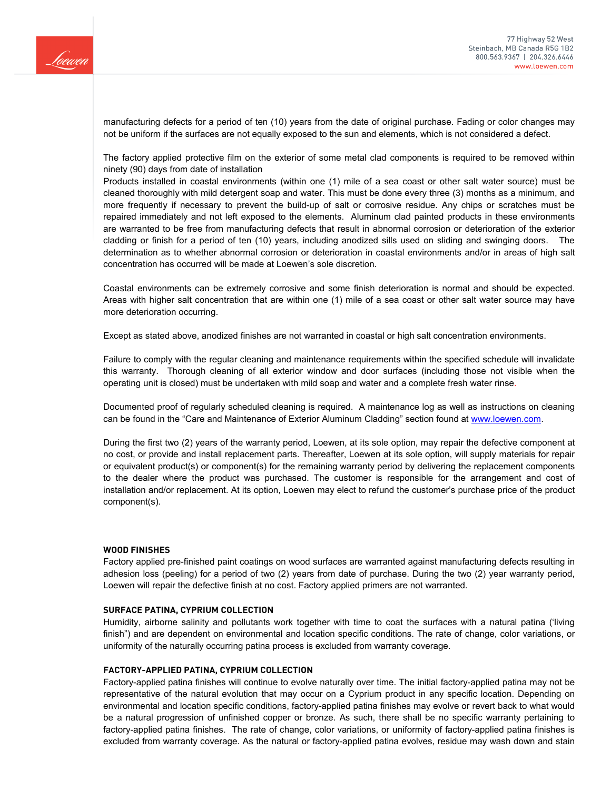

manufacturing defects for a period of ten (10) years from the date of original purchase. Fading or color changes may not be uniform if the surfaces are not equally exposed to the sun and elements, which is not considered a defect.

The factory applied protective film on the exterior of some metal clad components is required to be removed within ninety (90) days from date of installation

Products installed in coastal environments (within one (1) mile of a sea coast or other salt water source) must be cleaned thoroughly with mild detergent soap and water. This must be done every three (3) months as a minimum, and more frequently if necessary to prevent the build-up of salt or corrosive residue. Any chips or scratches must be repaired immediately and not left exposed to the elements. Aluminum clad painted products in these environments are warranted to be free from manufacturing defects that result in abnormal corrosion or deterioration of the exterior cladding or finish for a period of ten (10) years, including anodized sills used on sliding and swinging doors. The determination as to whether abnormal corrosion or deterioration in coastal environments and/or in areas of high salt concentration has occurred will be made at Loewen's sole discretion.

Coastal environments can be extremely corrosive and some finish deterioration is normal and should be expected. Areas with higher salt concentration that are within one (1) mile of a sea coast or other salt water source may have more deterioration occurring.

Except as stated above, anodized finishes are not warranted in coastal or high salt concentration environments.

Failure to comply with the regular cleaning and maintenance requirements within the specified schedule will invalidate this warranty. Thorough cleaning of all exterior window and door surfaces (including those not visible when the operating unit is closed) must be undertaken with mild soap and water and a complete fresh water rinse.

Documented proof of regularly scheduled cleaning is required. A maintenance log as well as instructions on cleaning can be found in the "Care and Maintenance of Exterior Aluminum Cladding" section found at [www.loewen.com.](http://www.loewen.com/)

During the first two (2) years of the warranty period, Loewen, at its sole option, may repair the defective component at no cost, or provide and install replacement parts. Thereafter, Loewen at its sole option, will supply materials for repair or equivalent product(s) or component(s) for the remaining warranty period by delivering the replacement components to the dealer where the product was purchased. The customer is responsible for the arrangement and cost of installation and/or replacement. At its option, Loewen may elect to refund the customer's purchase price of the product component(s).

#### **WOOD FINISHES**

Factory applied pre-finished paint coatings on wood surfaces are warranted against manufacturing defects resulting in adhesion loss (peeling) for a period of two (2) years from date of purchase. During the two (2) year warranty period, Loewen will repair the defective finish at no cost. Factory applied primers are not warranted.

#### **SURFACE PATINA, CYPRIUM COLLECTION**

Humidity, airborne salinity and pollutants work together with time to coat the surfaces with a natural patina ('living finish") and are dependent on environmental and location specific conditions. The rate of change, color variations, or uniformity of the naturally occurring patina process is excluded from warranty coverage.

#### **FACTORY-APPLIED PATINA, CYPRIUM COLLECTION**

Factory-applied patina finishes will continue to evolve naturally over time. The initial factory-applied patina may not be representative of the natural evolution that may occur on a Cyprium product in any specific location. Depending on environmental and location specific conditions, factory-applied patina finishes may evolve or revert back to what would be a natural progression of unfinished copper or bronze. As such, there shall be no specific warranty pertaining to factory-applied patina finishes. The rate of change, color variations, or uniformity of factory-applied patina finishes is excluded from warranty coverage. As the natural or factory-applied patina evolves, residue may wash down and stain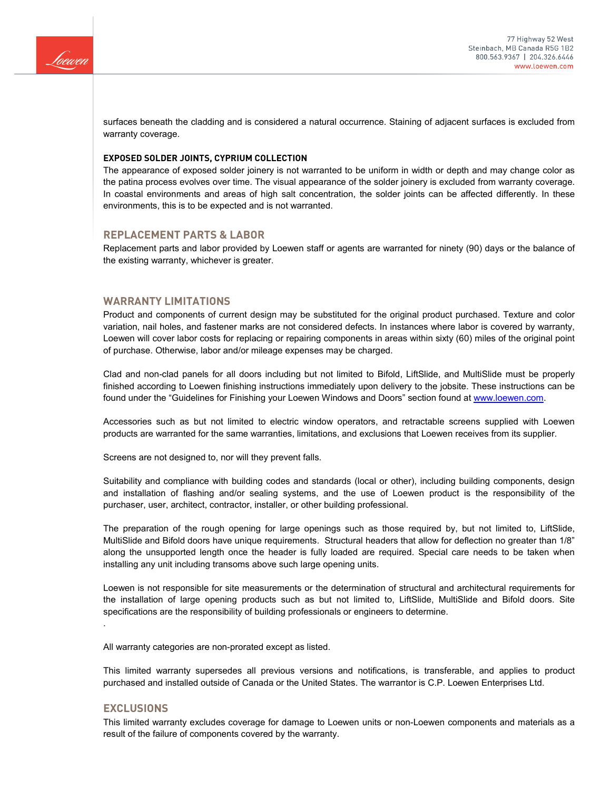

surfaces beneath the cladding and is considered a natural occurrence. Staining of adjacent surfaces is excluded from warranty coverage.

#### **EXPOSED SOLDER JOINTS, CYPRIUM COLLECTION**

The appearance of exposed solder joinery is not warranted to be uniform in width or depth and may change color as the patina process evolves over time. The visual appearance of the solder joinery is excluded from warranty coverage. In coastal environments and areas of high salt concentration, the solder joints can be affected differently. In these environments, this is to be expected and is not warranted.

#### **REPLACEMENT PARTS & LABOR**

Replacement parts and labor provided by Loewen staff or agents are warranted for ninety (90) days or the balance of the existing warranty, whichever is greater.

## **WARRANTY LIMITATIONS**

Product and components of current design may be substituted for the original product purchased. Texture and color variation, nail holes, and fastener marks are not considered defects. In instances where labor is covered by warranty, Loewen will cover labor costs for replacing or repairing components in areas within sixty (60) miles of the original point of purchase. Otherwise, labor and/or mileage expenses may be charged.

Clad and non-clad panels for all doors including but not limited to Bifold, LiftSlide, and MultiSlide must be properly finished according to Loewen finishing instructions immediately upon delivery to the jobsite. These instructions can be found under the "Guidelines for Finishing your Loewen Windows and Doors" section found at [www.loewen.com.](http://www.loewen.com/)

Accessories such as but not limited to electric window operators, and retractable screens supplied with Loewen products are warranted for the same warranties, limitations, and exclusions that Loewen receives from its supplier.

Screens are not designed to, nor will they prevent falls.

Suitability and compliance with building codes and standards (local or other), including building components, design and installation of flashing and/or sealing systems, and the use of Loewen product is the responsibility of the purchaser, user, architect, contractor, installer, or other building professional.

The preparation of the rough opening for large openings such as those required by, but not limited to, LiftSlide, MultiSlide and Bifold doors have unique requirements. Structural headers that allow for deflection no greater than 1/8" along the unsupported length once the header is fully loaded are required. Special care needs to be taken when installing any unit including transoms above such large opening units.

Loewen is not responsible for site measurements or the determination of structural and architectural requirements for the installation of large opening products such as but not limited to, LiftSlide, MultiSlide and Bifold doors. Site specifications are the responsibility of building professionals or engineers to determine.

All warranty categories are non-prorated except as listed.

This limited warranty supersedes all previous versions and notifications, is transferable, and applies to product purchased and installed outside of Canada or the United States. The warrantor is C.P. Loewen Enterprises Ltd.

## **EXCLUSIONS**

.

This limited warranty excludes coverage for damage to Loewen units or non-Loewen components and materials as a result of the failure of components covered by the warranty.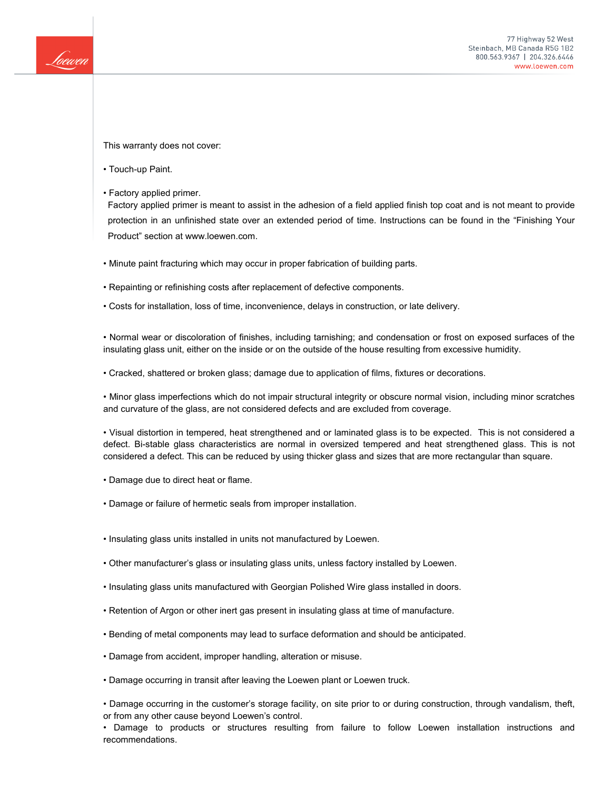

This warranty does not cover:

- Touch-up Paint.
- Factory applied primer.

Factory applied primer is meant to assist in the adhesion of a field applied finish top coat and is not meant to provide protection in an unfinished state over an extended period of time. Instructions can be found in the "Finishing Your Product" section at www.loewen.com.

- Minute paint fracturing which may occur in proper fabrication of building parts.
- Repainting or refinishing costs after replacement of defective components.
- Costs for installation, loss of time, inconvenience, delays in construction, or late delivery.

• Normal wear or discoloration of finishes, including tarnishing; and condensation or frost on exposed surfaces of the insulating glass unit, either on the inside or on the outside of the house resulting from excessive humidity.

• Cracked, shattered or broken glass; damage due to application of films, fixtures or decorations.

• Minor glass imperfections which do not impair structural integrity or obscure normal vision, including minor scratches and curvature of the glass, are not considered defects and are excluded from coverage.

• Visual distortion in tempered, heat strengthened and or laminated glass is to be expected. This is not considered a defect. Bi-stable glass characteristics are normal in oversized tempered and heat strengthened glass. This is not considered a defect. This can be reduced by using thicker glass and sizes that are more rectangular than square.

- Damage due to direct heat or flame.
- Damage or failure of hermetic seals from improper installation.
- Insulating glass units installed in units not manufactured by Loewen.
- Other manufacturer's glass or insulating glass units, unless factory installed by Loewen.
- Insulating glass units manufactured with Georgian Polished Wire glass installed in doors.
- Retention of Argon or other inert gas present in insulating glass at time of manufacture.
- Bending of metal components may lead to surface deformation and should be anticipated.
- Damage from accident, improper handling, alteration or misuse.
- Damage occurring in transit after leaving the Loewen plant or Loewen truck.

• Damage occurring in the customer's storage facility, on site prior to or during construction, through vandalism, theft, or from any other cause beyond Loewen's control.

• Damage to products or structures resulting from failure to follow Loewen installation instructions and recommendations.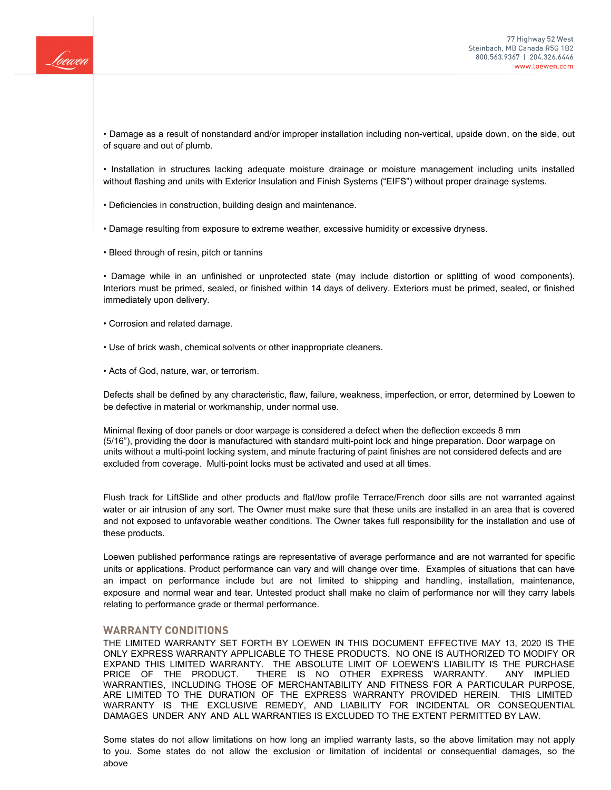

• Damage as a result of nonstandard and/or improper installation including non-vertical, upside down, on the side, out of square and out of plumb.

• Installation in structures lacking adequate moisture drainage or moisture management including units installed without flashing and units with Exterior Insulation and Finish Systems ("EIFS") without proper drainage systems.

• Deficiencies in construction, building design and maintenance.

• Damage resulting from exposure to extreme weather, excessive humidity or excessive dryness.

• Bleed through of resin, pitch or tannins

• Damage while in an unfinished or unprotected state (may include distortion or splitting of wood components). Interiors must be primed, sealed, or finished within 14 days of delivery. Exteriors must be primed, sealed, or finished immediately upon delivery.

• Corrosion and related damage.

• Use of brick wash, chemical solvents or other inappropriate cleaners.

• Acts of God, nature, war, or terrorism.

Defects shall be defined by any characteristic, flaw, failure, weakness, imperfection, or error, determined by Loewen to be defective in material or workmanship, under normal use.

Minimal flexing of door panels or door warpage is considered a defect when the deflection exceeds 8 mm (5/16"), providing the door is manufactured with standard multi-point lock and hinge preparation. Door warpage on units without a multi-point locking system, and minute fracturing of paint finishes are not considered defects and are excluded from coverage. Multi-point locks must be activated and used at all times.

Flush track for LiftSlide and other products and flat/low profile Terrace/French door sills are not warranted against water or air intrusion of any sort. The Owner must make sure that these units are installed in an area that is covered and not exposed to unfavorable weather conditions. The Owner takes full responsibility for the installation and use of these products.

Loewen published performance ratings are representative of average performance and are not warranted for specific units or applications. Product performance can vary and will change over time. Examples of situations that can have an impact on performance include but are not limited to shipping and handling, installation, maintenance, exposure and normal wear and tear. Untested product shall make no claim of performance nor will they carry labels relating to performance grade or thermal performance.

## **WARRANTY CONDITIONS**

THE LIMITED WARRANTY SET FORTH BY LOEWEN IN THIS DOCUMENT EFFECTIVE MAY 13, 2020 IS THE ONLY EXPRESS WARRANTY APPLICABLE TO THESE PRODUCTS. NO ONE IS AUTHORIZED TO MODIFY OR EXPAND THIS LIMITED WARRANTY. THE ABSOLUTE LIMIT OF LOEWEN'S LIABILITY IS THE PURCHASE PRICE OF THE PRODUCT. THERE IS NO OTHER EXPRESS WARRANTY. ANY IMPLIED WARRANTIES, INCLUDING THOSE OF MERCHANTABILITY AND FITNESS FOR A PARTICULAR PURPOSE, ARE LIMITED TO THE DURATION OF THE EXPRESS WARRANTY PROVIDED HEREIN. THIS LIMITED WARRANTY IS THE EXCLUSIVE REMEDY, AND LIABILITY FOR INCIDENTAL OR CONSEQUENTIAL DAMAGES UNDER ANY AND ALL WARRANTIES IS EXCLUDED TO THE EXTENT PERMITTED BY LAW.

Some states do not allow limitations on how long an implied warranty lasts, so the above limitation may not apply to you. Some states do not allow the exclusion or limitation of incidental or consequential damages, so the above